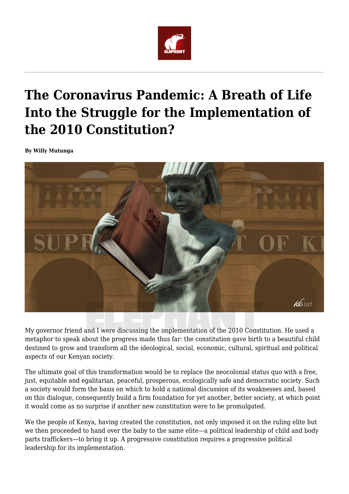

## **The Coronavirus Pandemic: A Breath of Life Into the Struggle for the Implementation of the 2010 Constitution?**

**By Willy Mutunga**



My governor friend and I were discussing the implementation of the 2010 Constitution. He used a metaphor to speak about the progress made thus far: the constitution gave birth to a beautiful child destined to grow and transform all the ideological, social, economic, cultural, spiritual and political aspects of our Kenyan society.

The ultimate goal of this transformation would be to replace the neocolonial status quo with a free, just, equitable and egalitarian, peaceful, prosperous, ecologically safe and democratic society. Such a society would form the basis on which to hold a national discussion of its weaknesses and, based on this dialogue, consequently build a firm foundation for yet another, better society, at which point it would come as no surprise if another new constitution were to be promulgated.

We the people of Kenya, having created the constitution, not only imposed it on the ruling elite but we then proceeded to hand over the baby to the same elite—a political leadership of child and body parts traffickers—to bring it up. A progressive constitution requires a progressive political leadership for its implementation.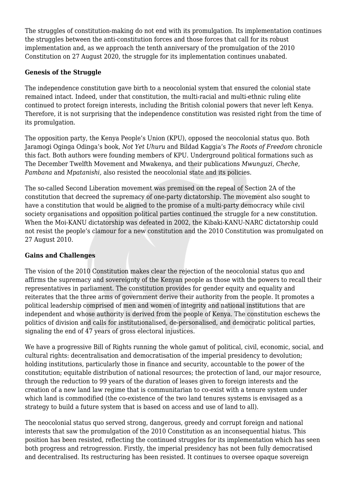The struggles of constitution-making do not end with its promulgation. Its implementation continues the struggles between the anti-constitution forces and those forces that call for its robust implementation and, as we approach the tenth anniversary of the promulgation of the 2010 Constitution on 27 August 2020, the struggle for its implementation continues unabated.

## **Genesis of the Struggle**

The independence constitution gave birth to a neocolonial system that ensured the colonial state remained intact. Indeed, under that constitution, the multi-racial and multi-ethnic ruling elite continued to protect foreign interests, including the British colonial powers that never left Kenya. Therefore, it is not surprising that the independence constitution was resisted right from the time of its promulgation.

The opposition party, the Kenya People's Union (KPU), opposed the neocolonial status quo. Both Jaramogi Oginga Odinga's book, *Not Yet Uhuru* and Bildad Kaggia's *The Roots of Freedom* chronicle this fact. Both authors were founding members of KPU. Underground political formations such as The December Twelfth Movement and Mwakenya, and their publications *Mwunguzi, Cheche, Pambana* and *Mpatanishi,* also resisted the neocolonial state and its policies.

The so-called Second Liberation movement was premised on the repeal of Section 2A of the constitution that decreed the supremacy of one-party dictatorship. The movement also sought to have a constitution that would be aligned to the promise of a multi-party democracy while civil society organisations and opposition political parties continued the struggle for a new constitution. When the Moi-KANU dictatorship was defeated in 2002, the Kibaki-KANU-NARC dictatorship could not resist the people's clamour for a new constitution and the 2010 Constitution was promulgated on 27 August 2010.

## **Gains and Challenges**

The vision of the 2010 Constitution makes clear the rejection of the neocolonial status quo and affirms the supremacy and sovereignty of the Kenyan people as those with the powers to recall their representatives in parliament. The constitution provides for gender equity and equality and reiterates that the three arms of government derive their authority from the people. It promotes a political leadership comprised of men and women of integrity and national institutions that are independent and whose authority is derived from the people of Kenya. The constitution eschews the politics of division and calls for institutionalised, de-personalised, and democratic political parties, signaling the end of 47 years of gross electoral injustices.

We have a progressive Bill of Rights running the whole gamut of political, civil, economic, social, and cultural rights: decentralisation and democratisation of the imperial presidency to devolution; holding institutions, particularly those in finance and security, accountable to the power of the constitution; equitable distribution of national resources; the protection of land, our major resource, through the reduction to 99 years of the duration of leases given to foreign interests and the creation of a new land law regime that is communitarian to co-exist with a tenure system under which land is commodified (the co-existence of the two land tenures systems is envisaged as a strategy to build a future system that is based on access and use of land to all).

The neocolonial status quo served strong, dangerous, greedy and corrupt foreign and national interests that saw the promulgation of the 2010 Constitution as an inconsequential hiatus. This position has been resisted, reflecting the continued struggles for its implementation which has seen both progress and retrogression. Firstly, the imperial presidency has not been fully democratised and decentralised. Its restructuring has been resisted. It continues to oversee opaque sovereign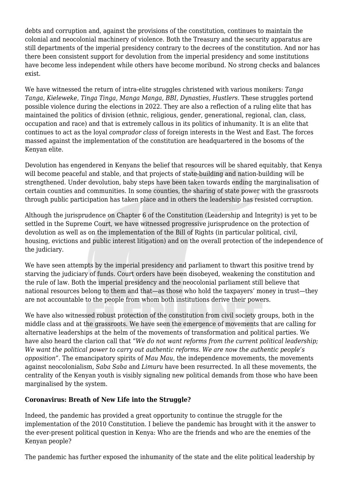debts and corruption and, against the provisions of the constitution, continues to maintain the colonial and neocolonial machinery of violence. Both the Treasury and the security apparatus are still departments of the imperial presidency contrary to the decrees of the constitution. And nor has there been consistent support for devolution from the imperial presidency and some institutions have become less independent while others have become moribund. No strong checks and balances exist.

We have witnessed the return of intra-elite struggles christened with various monikers: *Tanga Tanga, Kieleweke, Tinga Tinga, Manga Manga, BBI, Dynasties, Hustlers.* These struggles portend possible violence during the elections in 2022. They are also a reflection of a ruling elite that has maintained the politics of division (ethnic, religious, gender, generational, regional, clan, class, occupation and race) and that is extremely callous in its politics of inhumanity. It is an elite that continues to act as the loyal *comprador class* of foreign interests in the West and East. The forces massed against the implementation of the constitution are headquartered in the bosoms of the Kenyan elite.

Devolution has engendered in Kenyans the belief that resources will be shared equitably, that Kenya will become peaceful and stable, and that projects of state-building and nation-building will be strengthened. Under devolution, baby steps have been taken towards ending the marginalisation of certain counties and communities. In some counties, the sharing of state power with the grassroots through public participation has taken place and in others the leadership has resisted corruption.

Although the jurisprudence on Chapter 6 of the Constitution (Leadership and Integrity) is yet to be settled in the Supreme Court, we have witnessed progressive jurisprudence on the protection of devolution as well as on the implementation of the Bill of Rights (in particular political, civil, housing, evictions and public interest litigation) and on the overall protection of the independence of the judiciary.

We have seen attempts by the imperial presidency and parliament to thwart this positive trend by starving the judiciary of funds. Court orders have been disobeyed, weakening the constitution and the rule of law. Both the imperial presidency and the neocolonial parliament still believe that national resources belong to them and that—as those who hold the taxpayers' money in trust—they are not accountable to the people from whom both institutions derive their powers.

We have also witnessed robust protection of the constitution from civil society groups, both in the middle class and at the grassroots. We have seen the emergence of movements that are calling for alternative leaderships at the helm of the movements of transformation and political parties. We have also heard the clarion call that "*We do not want reforms from the current political leadership; We want the political power to carry out authentic reforms. We are now the authentic people's opposition".* The emancipatory spirits of *Mau Mau*, the independence movements, the movements against neocolonialism, *Saba Saba* and *Limuru* have been resurrected. In all these movements, the centrality of the Kenyan youth is visibly signaling new political demands from those who have been marginalised by the system.

## **Coronavirus: Breath of New Life into the Struggle?**

Indeed, the pandemic has provided a great opportunity to continue the struggle for the implementation of the 2010 Constitution. I believe the pandemic has brought with it the answer to the ever-present political question in Kenya: Who are the friends and who are the enemies of the Kenyan people?

The pandemic has further exposed the inhumanity of the state and the elite political leadership by